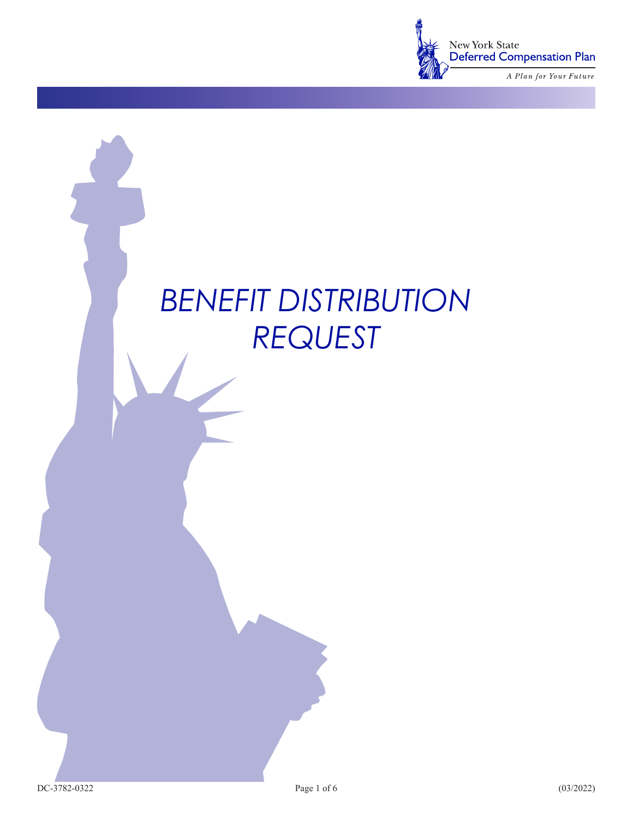

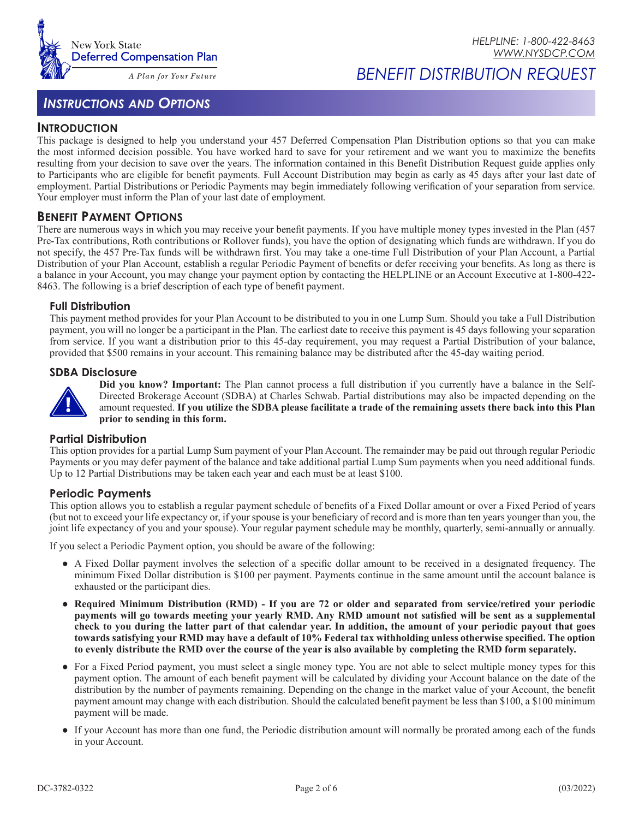

# *Instructions and Options*

# *BENEFIT DISTRIBUTION REQUEST*

## **Introduction**

This package is designed to help you understand your 457 Deferred Compensation Plan Distribution options so that you can make the most informed decision possible. You have worked hard to save for your retirement and we want you to maximize the benefits resulting from your decision to save over the years. The information contained in this Benefit Distribution Request guide applies only to Participants who are eligible for benefit payments. Full Account Distribution may begin as early as 45 days after your last date of employment. Partial Distributions or Periodic Payments may begin immediately following verification of your separation from service. Your employer must inform the Plan of your last date of employment.

#### **Benefit Payment Options**

There are numerous ways in which you may receive your benefit payments. If you have multiple money types invested in the Plan (457 Pre-Tax contributions, Roth contributions or Rollover funds), you have the option of designating which funds are withdrawn. If you do not specify, the 457 Pre-Tax funds will be withdrawn first. You may take a one-time Full Distribution of your Plan Account, a Partial Distribution of your Plan Account, establish a regular Periodic Payment of benefits or defer receiving your benefits. As long as there is a balance in your Account, you may change your payment option by contacting the HELPLINE or an Account Executive at 1-800-422- 8463. The following is a brief description of each type of benefit payment.

#### **Full Distribution**

This payment method provides for your Plan Account to be distributed to you in one Lump Sum. Should you take a Full Distribution payment, you will no longer be a participant in the Plan. The earliest date to receive this payment is 45 days following your separation from service. If you want a distribution prior to this 45-day requirement, you may request a Partial Distribution of your balance, provided that \$500 remains in your account. This remaining balance may be distributed after the 45-day waiting period.

#### **SDBA Disclosure**



**Did you know? Important:** The Plan cannot process a full distribution if you currently have a balance in the Self-Directed Brokerage Account (SDBA) at Charles Schwab. Partial distributions may also be impacted depending on the amount requested. **If you utilize the SDBA please facilitate a trade of the remaining assets there back into this Plan prior to sending in this form.**

#### **Partial Distribution**

This option provides for a partial Lump Sum payment of your Plan Account. The remainder may be paid out through regular Periodic Payments or you may defer payment of the balance and take additional partial Lump Sum payments when you need additional funds. Up to 12 Partial Distributions may be taken each year and each must be at least \$100.

#### **Periodic Payments**

This option allows you to establish a regular payment schedule of benefits of a Fixed Dollar amount or over a Fixed Period of years (but not to exceed your life expectancy or, if your spouse is your beneficiary of record and is more than ten years younger than you, the joint life expectancy of you and your spouse). Your regular payment schedule may be monthly, quarterly, semi-annually or annually.

If you select a Periodic Payment option, you should be aware of the following:

- A Fixed Dollar payment involves the selection of a specific dollar amount to be received in a designated frequency. The minimum Fixed Dollar distribution is \$100 per payment. Payments continue in the same amount until the account balance is exhausted or the participant dies.
- **Required Minimum Distribution (RMD) If you are 72 or older and separated from service/retired your periodic payments will go towards meeting your yearly RMD. Any RMD amount not satisfied will be sent as a supplemental check to you during the latter part of that calendar year. In addition, the amount of your periodic payout that goes towards satisfying your RMD may have a default of 10% Federal tax withholding unless otherwise specified. The option to evenly distribute the RMD over the course of the year is also available by completing the RMD form separately.**
- For a Fixed Period payment, you must select a single money type. You are not able to select multiple money types for this payment option. The amount of each benefit payment will be calculated by dividing your Account balance on the date of the distribution by the number of payments remaining. Depending on the change in the market value of your Account, the benefit payment amount may change with each distribution. Should the calculated benefit payment be less than \$100, a \$100 minimum payment will be made.
- If your Account has more than one fund, the Periodic distribution amount will normally be prorated among each of the funds in your Account.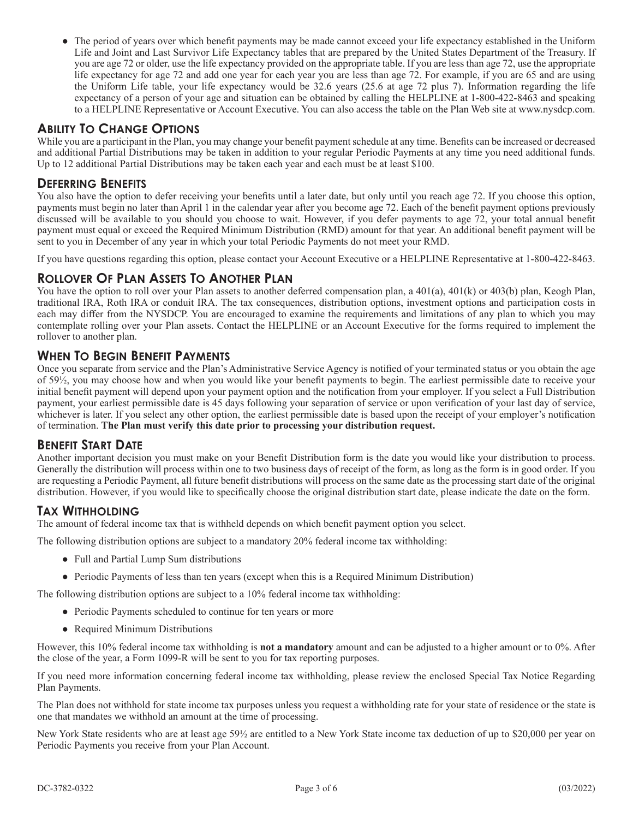• The period of years over which benefit payments may be made cannot exceed your life expectancy established in the Uniform Life and Joint and Last Survivor Life Expectancy tables that are prepared by the United States Department of the Treasury. If you are age 72 or older, use the life expectancy provided on the appropriate table. If you are less than age 72, use the appropriate life expectancy for age 72 and add one year for each year you are less than age 72. For example, if you are 65 and are using the Uniform Life table, your life expectancy would be 32.6 years (25.6 at age 72 plus 7). Information regarding the life expectancy of a person of your age and situation can be obtained by calling the HELPLINE at 1-800-422-8463 and speaking to a HELPLINE Representative or Account Executive. You can also access the table on the Plan Web site at www.nysdcp.com.

## **Ability To Change Options**

While you are a participant in the Plan, you may change your benefit payment schedule at any time. Benefits can be increased or decreased and additional Partial Distributions may be taken in addition to your regular Periodic Payments at any time you need additional funds. Up to 12 additional Partial Distributions may be taken each year and each must be at least \$100.

#### **Deferring Benefits**

You also have the option to defer receiving your benefits until a later date, but only until you reach age 72. If you choose this option, payments must begin no later than April 1 in the calendar year after you become age 72. Each of the benefit payment options previously discussed will be available to you should you choose to wait. However, if you defer payments to age 72, your total annual benefit payment must equal or exceed the Required Minimum Distribution (RMD) amount for that year. An additional benefit payment will be sent to you in December of any year in which your total Periodic Payments do not meet your RMD.

If you have questions regarding this option, please contact your Account Executive or a HELPLINE Representative at 1-800-422-8463.

## **Rollover Of Plan Assets To Another Plan**

You have the option to roll over your Plan assets to another deferred compensation plan, a  $401(a)$ ,  $401(k)$  or  $403(b)$  plan, Keogh Plan, traditional IRA, Roth IRA or conduit IRA. The tax consequences, distribution options, investment options and participation costs in each may differ from the NYSDCP. You are encouraged to examine the requirements and limitations of any plan to which you may contemplate rolling over your Plan assets. Contact the HELPLINE or an Account Executive for the forms required to implement the rollover to another plan.

#### **When To Begin Benefit Payments**

Once you separate from service and the Plan's Administrative Service Agency is notified of your terminated status or you obtain the age of 59½, you may choose how and when you would like your benefit payments to begin. The earliest permissible date to receive your initial benefit payment will depend upon your payment option and the notification from your employer. If you select a Full Distribution payment, your earliest permissible date is 45 days following your separation of service or upon verification of your last day of service, whichever is later. If you select any other option, the earliest permissible date is based upon the receipt of your employer's notification of termination. **The Plan must verify this date prior to processing your distribution request.**

#### **Benefit Start Date**

Another important decision you must make on your Benefit Distribution form is the date you would like your distribution to process. Generally the distribution will process within one to two business days of receipt of the form, as long as the form is in good order. If you are requesting a Periodic Payment, all future benefit distributions will process on the same date as the processing start date of the original distribution. However, if you would like to specifically choose the original distribution start date, please indicate the date on the form.

#### **Tax Withholding**

The amount of federal income tax that is withheld depends on which benefit payment option you select.

The following distribution options are subject to a mandatory 20% federal income tax withholding:

- Full and Partial Lump Sum distributions
- Periodic Payments of less than ten years (except when this is a Required Minimum Distribution)

The following distribution options are subject to a 10% federal income tax withholding:

- Periodic Payments scheduled to continue for ten years or more
- Required Minimum Distributions

However, this 10% federal income tax withholding is **not a mandatory** amount and can be adjusted to a higher amount or to 0%. After the close of the year, a Form 1099-R will be sent to you for tax reporting purposes.

If you need more information concerning federal income tax withholding, please review the enclosed Special Tax Notice Regarding Plan Payments.

The Plan does not withhold for state income tax purposes unless you request a withholding rate for your state of residence or the state is one that mandates we withhold an amount at the time of processing.

New York State residents who are at least age 59½ are entitled to a New York State income tax deduction of up to \$20,000 per year on Periodic Payments you receive from your Plan Account.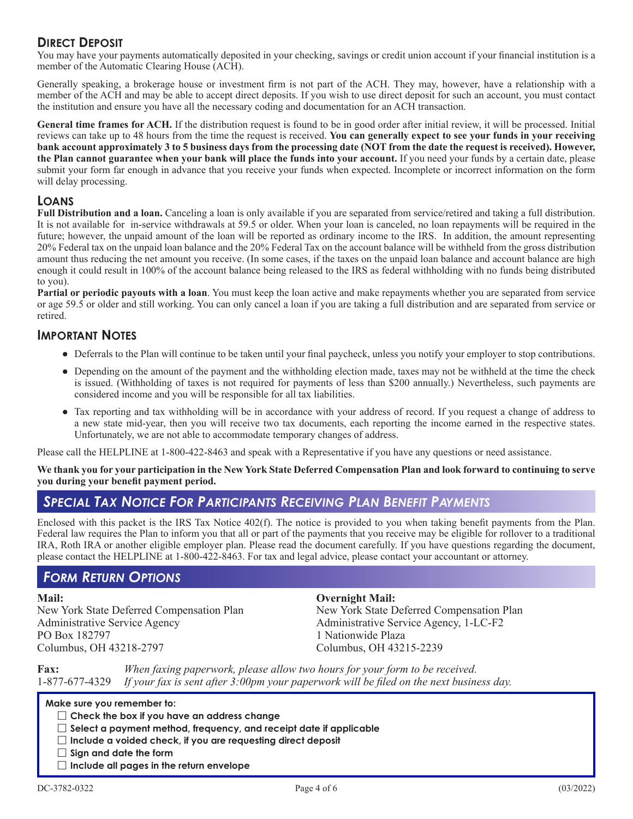## **Direct Deposit**

You may have your payments automatically deposited in your checking, savings or credit union account if your financial institution is a member of the Automatic Clearing House (ACH).

Generally speaking, a brokerage house or investment firm is not part of the ACH. They may, however, have a relationship with a member of the ACH and may be able to accept direct deposits. If you wish to use direct deposit for such an account, you must contact the institution and ensure you have all the necessary coding and documentation for an ACH transaction.

General time frames for ACH. If the distribution request is found to be in good order after initial review, it will be processed. Initial reviews can take up to 48 hours from the time the request is received. **You can generally expect to see your funds in your receiving bank account approximately 3 to 5 business days from the processing date (NOT from the date the request is received). However, the Plan cannot guarantee when your bank will place the funds into your account.** If you need your funds by a certain date, please submit your form far enough in advance that you receive your funds when expected. Incomplete or incorrect information on the form will delay processing.

#### **Loans**

**Full Distribution and a loan.** Canceling a loan is only available if you are separated from service/retired and taking a full distribution. It is not available for in-service withdrawals at 59.5 or older. When your loan is canceled, no loan repayments will be required in the future; however, the unpaid amount of the loan will be reported as ordinary income to the IRS. In addition, the amount representing 20% Federal tax on the unpaid loan balance and the 20% Federal Tax on the account balance will be withheld from the gross distribution amount thus reducing the net amount you receive. (In some cases, if the taxes on the unpaid loan balance and account balance are high enough it could result in 100% of the account balance being released to the IRS as federal withholding with no funds being distributed to you).

**Partial or periodic payouts with a loan**. You must keep the loan active and make repayments whether you are separated from service or age 59.5 or older and still working. You can only cancel a loan if you are taking a full distribution and are separated from service or retired.

## **Important Notes**

- Deferrals to the Plan will continue to be taken until your final paycheck, unless you notify your employer to stop contributions.
- Depending on the amount of the payment and the withholding election made, taxes may not be withheld at the time the check is issued. (Withholding of taxes is not required for payments of less than \$200 annually.) Nevertheless, such payments are considered income and you will be responsible for all tax liabilities.
- Tax reporting and tax withholding will be in accordance with your address of record. If you request a change of address to a new state mid-year, then you will receive two tax documents, each reporting the income earned in the respective states. Unfortunately, we are not able to accommodate temporary changes of address.

Please call the HELPLINE at 1-800-422-8463 and speak with a Representative if you have any questions or need assistance.

**We thank you for your participation in the New York State Deferred Compensation Plan and look forward to continuing to serve you during your benefit payment period.**

# *Special Tax Notice For Participants Receiving Plan Benefit Payments*

Enclosed with this packet is the IRS Tax Notice 402(f). The notice is provided to you when taking benefit payments from the Plan. Federal law requires the Plan to inform you that all or part of the payments that you receive may be eligible for rollover to a traditional IRA, Roth IRA or another eligible employer plan. Please read the document carefully. If you have questions regarding the document, please contact the HELPLINE at 1-800-422-8463. For tax and legal advice, please contact your accountant or attorney.

## *Form Return Options*

New York State Deferred Compensation Plan New York State Deferred Compensation Plan Administrative Service Agency Administrative Service Agency, 1-LC-F2 PO Box 182797 1 Nationwide Plaza Columbus, OH 43218-2797 Columbus, OH 43215-2239

#### **Mail: Overnight Mail:**

**Fax:** *When faxing paperwork, please allow two hours for your form to be received.* 1-877-677-4329 *If your fax is sent after 3:00pm your paperwork will be filed on the next business day.*

**Make sure you remember to:**

- **Check the box if you have an address change**
- $\Box$  Select a payment method, frequency, and receipt date if applicable
- □ Include a voided check, if you are requesting direct deposit
- **Sign and date the form**
- □ Include all pages in the return envelope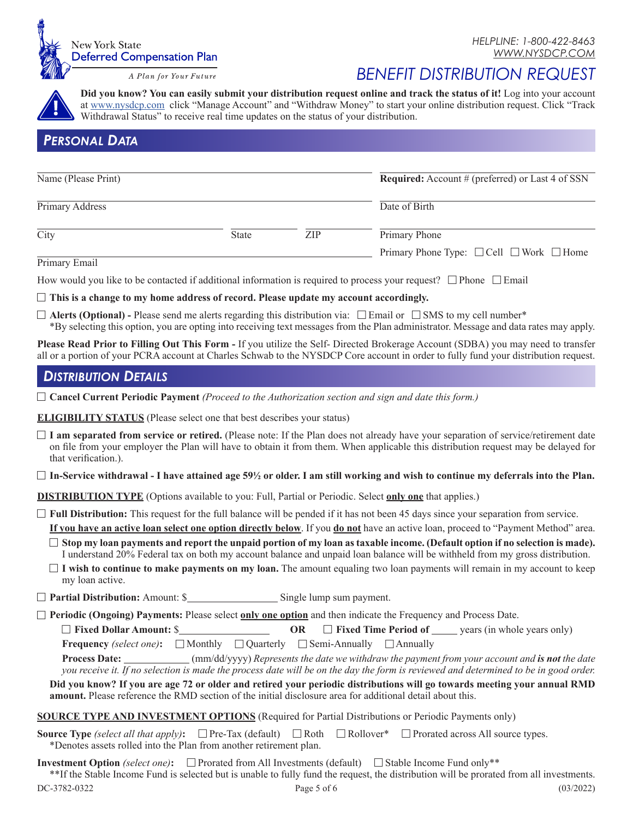

# *BENEFIT DISTRIBUTION REQUEST*

**Did you know? You can easily submit your distribution request online and track the status of it!** Log into your account at www.nysdcp.com click "Manage Account" and "Withdraw Money" to start your online distribution request. Click "Track Withdrawal Status" to receive real time updates on the status of your distribution.

| Name (Please Print) |              |     | <b>Required:</b> Account # (preferred) or Last 4 of SSN |
|---------------------|--------------|-----|---------------------------------------------------------|
| Primary Address     |              |     | Date of Birth                                           |
| City                | <b>State</b> | ZIP | Primary Phone                                           |
| Primary Email       |              |     | Primary Phone Type: $\Box$ Cell $\Box$ Work $\Box$ Home |

How would you like to be contacted if additional information is required to process your request?  $\Box$  Phone  $\Box$  Email

 $\Box$  This is a change to my home address of record. Please update my account accordingly.

 $\Box$  **Alerts (Optional)** - Please send me alerts regarding this distribution via:  $\Box$  Email or  $\Box$  SMS to my cell number\* \*By selecting this option, you are opting into receiving text messages from the Plan administrator. Message and data rates may apply.

**Please Read Prior to Filling Out This Form -** If you utilize the Self- Directed Brokerage Account (SDBA) you may need to transfer all or a portion of your PCRA account at Charles Schwab to the NYSDCP Core account in order to fully fund your distribution request.

#### *Distribution Details*

□ **Cancel Current Periodic Payment** *(Proceed to the Authorization section and sign and date this form.)* 

**ELIGIBILITY STATUS** (Please select one that best describes your status)

□ **I am separated from service or retired.** (Please note: If the Plan does not already have your separation of service/retirement date on file from your employer the Plan will have to obtain it from them. When applicable this distribution request may be delayed for that verification.).

 $\Box$  In-Service withdrawal - I have attained age 59½ or older. I am still working and wish to continue my deferrals into the Plan.

**DISTRIBUTION TYPE** (Options available to you: Full, Partial or Periodic. Select **only one** that applies.)

□ **Full Distribution:** This request for the full balance will be pended if it has not been 45 days since your separation from service.

**If you have an active loan select one option directly below**. If you **do not** have an active loan, proceed to "Payment Method" area.  $\Box$  Stop my loan payments and report the unpaid portion of my loan as taxable income. (Default option if no selection is made).

I understand 20% Federal tax on both my account balance and unpaid loan balance will be withheld from my gross distribution.

 $\Box$  **I** wish to continue to make payments on my loan. The amount equaling two loan payments will remain in my account to keep my loan active.

 $\boxed{\phantom{1}}$  **Partial Distribution:** Amount: \$\_\_\_\_\_\_\_\_\_\_\_\_\_\_\_\_\_\_\_\_\_\_\_\_\_Single lump sum payment.

□ **Periodic (Ongoing) Payments:** Please select **<u>only one option</u>** and then indicate the Frequency and Process Date.

□ **Fixed Dollar Amount: \$** OR □ **Fixed Time Period of** years (in whole years only)

**Frequency** (select one):  $\Box$  Monthly  $\Box$  Quarterly  $\Box$  Semi-Annually  $\Box$  Annually

**Process Date:** (mm/dd/yyyy) *Represents the date we withdraw the payment from your account and <i>is not the date you receive it. If no selection is made the process date will be on the day the form is reviewed and determined to be in good order.*

**Did you know? If you are age 72 or older and retired your periodic distributions will go towards meeting your annual RMD amount.** Please reference the RMD section of the initial disclosure area for additional detail about this.

**SOURCE TYPE AND INVESTMENT OPTIONS** (Required for Partial Distributions or Periodic Payments only)

**Source Type** *(select all that apply)*:  $\Box$  Pre-Tax (default)  $\Box$  Roth  $\Box$  Rollover\*  $\Box$  Prorated across All source types. \*Denotes assets rolled into the Plan from another retirement plan.

**Investment Option** (select one):  $\Box$  Prorated from All Investments (default)  $\Box$  Stable Income Fund only\*\*

\*\*If the Stable Income Fund is selected but is unable to fully fund the request, the distribution will be prorated from all investments.

 $DC-3782-0322$  Page 5 of 6 (03/2022)